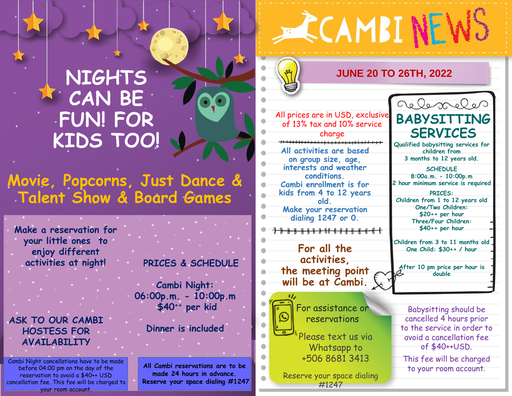# **NIGHTS CAN BE FUN! FOR KIDS TOO!**

## **Movie, Popcorns, Just Dance & Talent Show & Board Games**

**Make a reservation for your little ones to enjoy different activities at night!**

**ASK TO OUR CAMBI HOSTESS FOR AVAILABILITY**

Cambi Night cancellations have to be made before 04:00 pm on the day of the reservation to avoid a \$40++ USD cancellation fee. This fee will be charged to your room account.

**PRICES & SCHEDULE**

**Cambi Night: 06:00p.m. - 10:00p.m \$40++ per kid**

#### **Dinner is included**

**All Cambi reservations are to be made 24 hours in advance. Reserve your space dialing #1247**

#### **ECAMBINEWS JUNE 20 TO 26TH, 2022** relexales All prices are in USD, exclusive **BABYSITTING** of 13% tax and 10% service **SERVICES** charge **Qualified babysitting services for All activities are based children from 3 months to 12 years old. on group size, age, interests and weather SCHEDULE conditions. 8:00a.m. - 10:00p.m 2 hour minimum service is required Cambi enrollment is for kids from 4 to 12 years PRICES: old. Children from 1 to 12 years old One/Two Children: Make your reservation \$20++ per hour dialing 1247 or 0. Three/Four Children: \$40++ per hour** <del>8888888888888888</del> **Children from 3 to 11 months old For all the One Child: \$30++ / hour activities, After 10 pm price per hour is the meeting point double will be at Cambi.** For assistance or Babysitting should be reservations cancelled 4 hours prior to the service in order to Please text us via avoid a cancellation fee Whatsapp to of \$40++USD. +506 8681 3413 This fee will be charged to your room account. Reserve your space dialing

#1247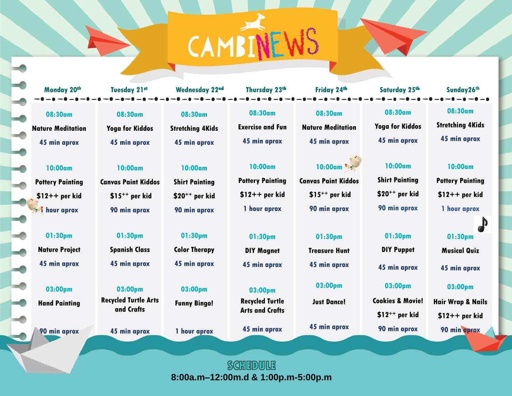CAMBINE)

**08:30am**

Ę

 $\overline{\phantom{a}}$ 

 $\overline{\phantom{a}}$ 

 $\frac{1}{2}$ 

 $\rightarrow$ 

 $\rightarrow$ 

 $\frac{1}{2}$ 

 $\overline{\phantom{a}}$ 

**Nature Meditation 45 min aprox**

**10:00am**

**Pottery Painting \$12++ per kid 1** hour aprox

**01:30pm Nature Project 45 min aprox**

**03:00pm**

**Hand Painting**

**90 min aprox**

**08:30am**

**Yoga for Kiddos 45 min aprox**

**10:00am Canvas Paint Kiddos \$15++ per kid 90 min aprox**

> **01:30pm Spanish Class 45 min aprox**

**03:00pm Recycled Turtle Arts and Crafts**

**45 min aprox**

**08:30am Stretching 4Kids 45 min aprox**

**10:00am Shirt Painting \$20++ per kid**

**01:30pm Color Therapy 45 min aprox**

**90 min aprox**

**03:00pm**

**Funny Bingo!**

**1 hour aprox**

**Exercise and Fun 45 min aprox**

**08:30am**

**10:00am**

**Pottery Painting \$12++ per kid 1 hour aprox**

**01:30pm DIY Magnet 45 min aprox**

**03:00pm Recycled Turtle Arts and Crafts**

**45 min aprox**

**08:30am Nature Meditation**

#### **10:00am**

**Canvas Paint Kiddos \$15++ per kid 90 min aprox**

> **01:30pm Treasure Hunt**

**45 min aprox**

**03:00pm**

**Just Dance!**

**45 min aprox**

**08:30am Yoga for Kiddos**

**10:00am**

**Shirt Painting** 

**\$20++ per kid**

**90 min aprox**

**03:00pm**

**Cookies & Movie!**

**\$12++ per kid**

**90 min aprox**

**Monday 20th Tuesday 21st Wednesday 22nd Thursday 23th Friday 24th Saturday 25th Sunday26th**

**08:30am Stretching 4Kids 45 min aprox**

**10:00am**

**Pottery Painting \$12++ per kid 1 hour aprox**

 $\mathbb D$ 

**01:30pm DIY Puppet 45 min aprox 01:30pm Musical Quiz**

**45 min aprox 03:00pm Hair Wrap & Nails**

**\$12++ per kid**

**90 min aprox**

SCHEDVILE **8:00a.m–12:00m.d & 1:00p.m-5:00p.m**

**45 min aprox**

**45 min aprox**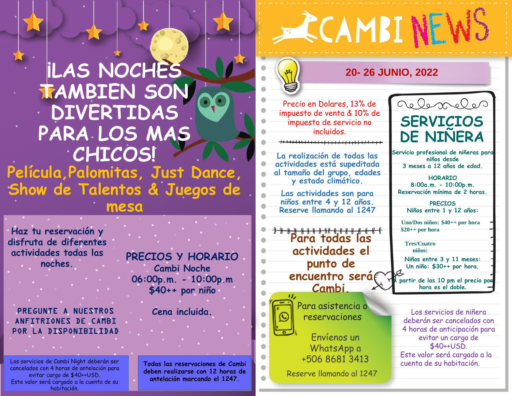## **¡LAS NOCHES TAMBIEN SON DIVERTIDAS PARA LOS MAS CHICOS! Película,Palomitas, Just Dance, Show de Talentos & Juegos de mesa**

**Haz tu reservación y disfruta de diferentes actividades todas las noches.**

PREGUNTE A NUESTROS ANFITRIONES DE CAMBI POR LA DISPONIBILIDAD

Los servicios de Cambi Night deberán ser cancelados con 4 horas de antelación para evitar cargo de \$40++USD. Este valor será cargado a la cuenta de su habitación.

**PRECIOS Y HORARIO Cambi Noche 06:00p.m. - 10:00p.m \$40++ por niño**

**Cena incluida.**

**Todas las reservaciones de Cambi deben realizarse con 12 horas de antelación marcando el 1247.** 

### **20- 26 JUNIO, 2022**

**ECAMBINEW:** 

Precio en Dolares, 13% de impuesto de venta & 10% de impuesto de servicio no incluidos.

**La realización de todas las actividades está supeditada al tamaño del grupo, edades y estado climático.**

**Las actividades son para niños entre 4 y 12 años. Reserve llamando al 1247**

**Para todas las actividades el punto de**  encuentro será**f Cambi.**



Para asistencia o reservaciones

Envíenos un WhatsApp a +506 8681 3413

Reserve llamando al 1247



**Servicio profesional de niñeras para niños desde 3 meses a 12 años de edad.**

**HORARIO 8:00a.m. - 10:00p.m. Reservación mínima de 2 horas.**

**PRECIOS Niños entre 1 y 12 años:**

**Uno/Dos niños: \$40++ por hora \$20++ por hora**

**Tres/Cuatro niños:** 

**Niños entre 3 y 11 meses: Un niño: \$30++ por hora.**

**A partir de las 10 pm el precio por hora es el doble.**

Los servicios de niñera deberán ser cancelados con 4 horas de anticipación para evitar un cargo de \$40++USD. Este valor será cargado a la cuenta de su habitación.